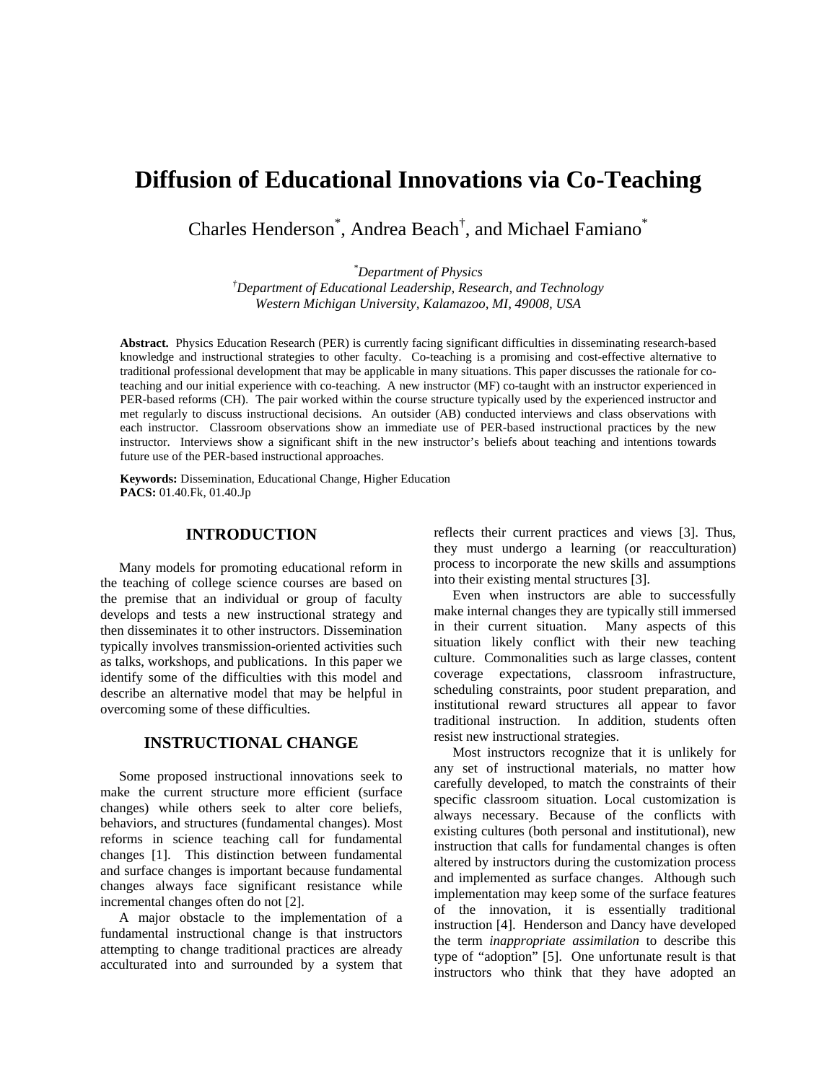# **Diffusion of Educational Innovations via Co-Teaching**

Charles Henderson<sup>\*</sup>, Andrea Beach<sup>†</sup>, and Michael Famiano<sup>\*</sup>

*\* Department of Physics* 

*† Department of Educational Leadership, Research, and Technology Western Michigan University, Kalamazoo, MI, 49008, USA* 

**Abstract.** Physics Education Research (PER) is currently facing significant difficulties in disseminating research-based knowledge and instructional strategies to other faculty. Co-teaching is a promising and cost-effective alternative to traditional professional development that may be applicable in many situations. This paper discusses the rationale for coteaching and our initial experience with co-teaching. A new instructor (MF) co-taught with an instructor experienced in PER-based reforms (CH). The pair worked within the course structure typically used by the experienced instructor and met regularly to discuss instructional decisions. An outsider (AB) conducted interviews and class observations with each instructor. Classroom observations show an immediate use of PER-based instructional practices by the new instructor. Interviews show a significant shift in the new instructor's beliefs about teaching and intentions towards future use of the PER-based instructional approaches.

**Keywords:** Dissemination, Educational Change, Higher Education **PACS:** 01.40.Fk, 01.40.Jp

## **INTRODUCTION**

Many models for promoting educational reform in the teaching of college science courses are based on the premise that an individual or group of faculty develops and tests a new instructional strategy and then disseminates it to other instructors. Dissemination typically involves transmission-oriented activities such as talks, workshops, and publications. In this paper we identify some of the difficulties with this model and describe an alternative model that may be helpful in overcoming some of these difficulties.

# **INSTRUCTIONAL CHANGE**

Some proposed instructional innovations seek to make the current structure more efficient (surface changes) while others seek to alter core beliefs, behaviors, and structures (fundamental changes). Most reforms in science teaching call for fundamental changes [1]. This distinction between fundamental and surface changes is important because fundamental changes always face significant resistance while incremental changes often do not [2].

A major obstacle to the implementation of a fundamental instructional change is that instructors attempting to change traditional practices are already acculturated into and surrounded by a system that reflects their current practices and views [3]. Thus, they must undergo a learning (or reacculturation) process to incorporate the new skills and assumptions into their existing mental structures [3].

Even when instructors are able to successfully make internal changes they are typically still immersed in their current situation. Many aspects of this situation likely conflict with their new teaching culture. Commonalities such as large classes, content coverage expectations, classroom infrastructure, scheduling constraints, poor student preparation, and institutional reward structures all appear to favor traditional instruction. In addition, students often resist new instructional strategies.

Most instructors recognize that it is unlikely for any set of instructional materials, no matter how carefully developed, to match the constraints of their specific classroom situation. Local customization is always necessary. Because of the conflicts with existing cultures (both personal and institutional), new instruction that calls for fundamental changes is often altered by instructors during the customization process and implemented as surface changes. Although such implementation may keep some of the surface features of the innovation, it is essentially traditional instruction [4]. Henderson and Dancy have developed the term *inappropriate assimilation* to describe this type of "adoption" [5]. One unfortunate result is that instructors who think that they have adopted an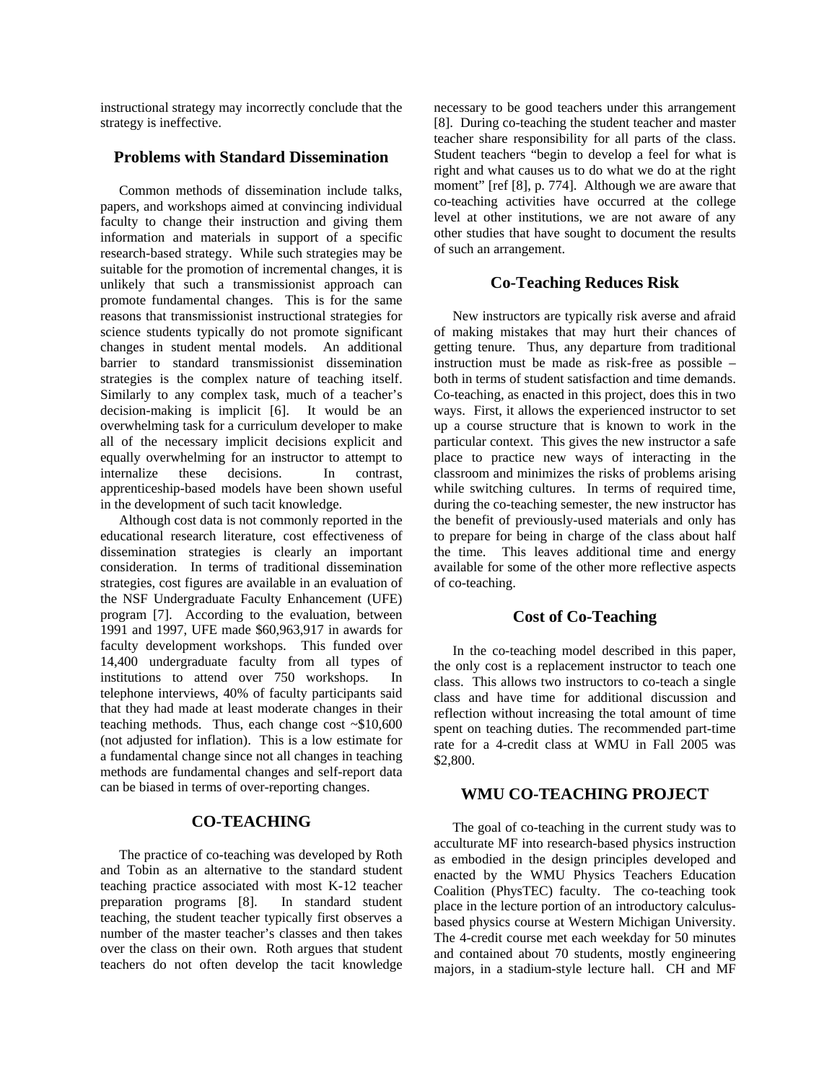instructional strategy may incorrectly conclude that the strategy is ineffective.

## **Problems with Standard Dissemination**

Common methods of dissemination include talks, papers, and workshops aimed at convincing individual faculty to change their instruction and giving them information and materials in support of a specific research-based strategy. While such strategies may be suitable for the promotion of incremental changes, it is unlikely that such a transmissionist approach can promote fundamental changes. This is for the same reasons that transmissionist instructional strategies for science students typically do not promote significant changes in student mental models. An additional barrier to standard transmissionist dissemination strategies is the complex nature of teaching itself. Similarly to any complex task, much of a teacher's decision-making is implicit [6]. It would be an overwhelming task for a curriculum developer to make all of the necessary implicit decisions explicit and equally overwhelming for an instructor to attempt to internalize these decisions. In contrast, apprenticeship-based models have been shown useful in the development of such tacit knowledge.

Although cost data is not commonly reported in the educational research literature, cost effectiveness of dissemination strategies is clearly an important consideration. In terms of traditional dissemination strategies, cost figures are available in an evaluation of the NSF Undergraduate Faculty Enhancement (UFE) program [7]. According to the evaluation, between 1991 and 1997, UFE made \$60,963,917 in awards for faculty development workshops. This funded over 14,400 undergraduate faculty from all types of institutions to attend over 750 workshops. In telephone interviews, 40% of faculty participants said that they had made at least moderate changes in their teaching methods. Thus, each change cost ~\$10,600 (not adjusted for inflation). This is a low estimate for a fundamental change since not all changes in teaching methods are fundamental changes and self-report data can be biased in terms of over-reporting changes.

## **CO-TEACHING**

The practice of co-teaching was developed by Roth and Tobin as an alternative to the standard student teaching practice associated with most K-12 teacher preparation programs [8]. In standard student teaching, the student teacher typically first observes a number of the master teacher's classes and then takes over the class on their own. Roth argues that student teachers do not often develop the tacit knowledge

necessary to be good teachers under this arrangement [8]. During co-teaching the student teacher and master teacher share responsibility for all parts of the class. Student teachers "begin to develop a feel for what is right and what causes us to do what we do at the right moment" [ref [8], p. 774]. Although we are aware that co-teaching activities have occurred at the college level at other institutions, we are not aware of any other studies that have sought to document the results of such an arrangement.

#### **Co-Teaching Reduces Risk**

New instructors are typically risk averse and afraid of making mistakes that may hurt their chances of getting tenure. Thus, any departure from traditional instruction must be made as risk-free as possible – both in terms of student satisfaction and time demands. Co-teaching, as enacted in this project, does this in two ways. First, it allows the experienced instructor to set up a course structure that is known to work in the particular context. This gives the new instructor a safe place to practice new ways of interacting in the classroom and minimizes the risks of problems arising while switching cultures. In terms of required time, during the co-teaching semester, the new instructor has the benefit of previously-used materials and only has to prepare for being in charge of the class about half the time. This leaves additional time and energy available for some of the other more reflective aspects of co-teaching.

## **Cost of Co-Teaching**

In the co-teaching model described in this paper, the only cost is a replacement instructor to teach one class. This allows two instructors to co-teach a single class and have time for additional discussion and reflection without increasing the total amount of time spent on teaching duties. The recommended part-time rate for a 4-credit class at WMU in Fall 2005 was \$2,800.

#### **WMU CO-TEACHING PROJECT**

The goal of co-teaching in the current study was to acculturate MF into research-based physics instruction as embodied in the design principles developed and enacted by the WMU Physics Teachers Education Coalition (PhysTEC) faculty. The co-teaching took place in the lecture portion of an introductory calculusbased physics course at Western Michigan University. The 4-credit course met each weekday for 50 minutes and contained about 70 students, mostly engineering majors, in a stadium-style lecture hall. CH and MF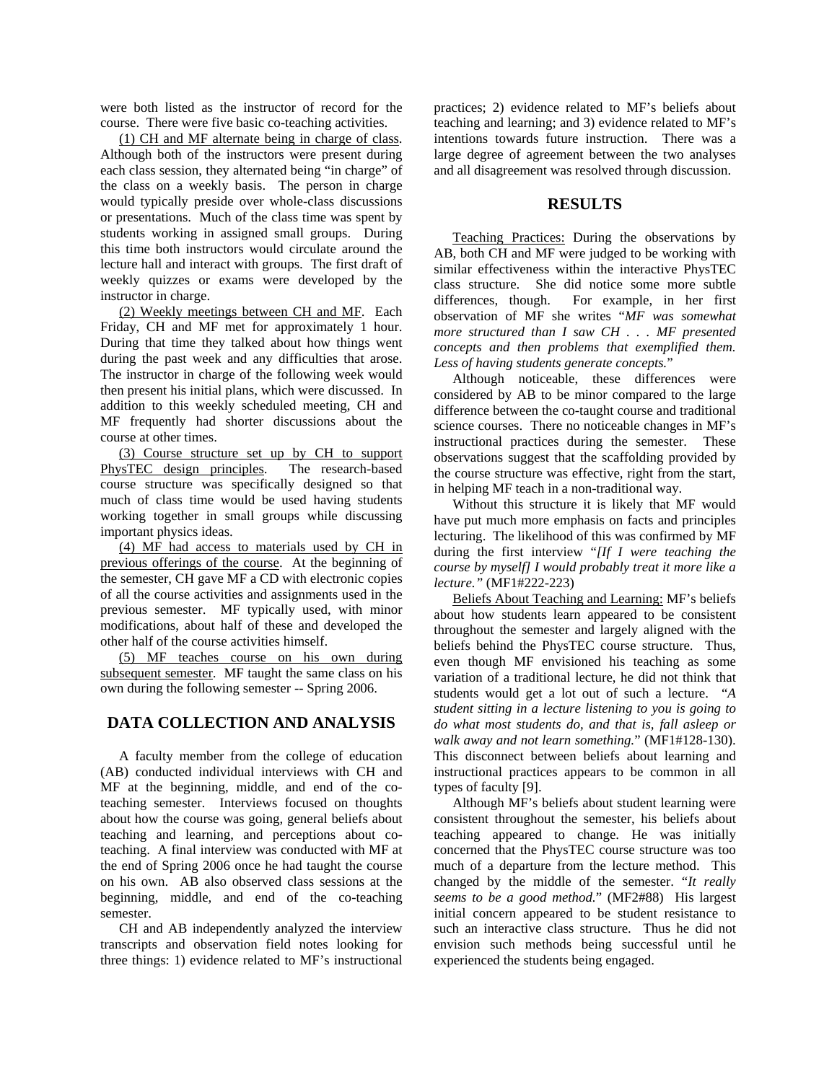were both listed as the instructor of record for the course. There were five basic co-teaching activities.

(1) CH and MF alternate being in charge of class. Although both of the instructors were present during each class session, they alternated being "in charge" of the class on a weekly basis. The person in charge would typically preside over whole-class discussions or presentations. Much of the class time was spent by students working in assigned small groups. During this time both instructors would circulate around the lecture hall and interact with groups. The first draft of weekly quizzes or exams were developed by the instructor in charge.

(2) Weekly meetings between CH and MF. Each Friday, CH and MF met for approximately 1 hour. During that time they talked about how things went during the past week and any difficulties that arose. The instructor in charge of the following week would then present his initial plans, which were discussed. In addition to this weekly scheduled meeting, CH and MF frequently had shorter discussions about the course at other times.

(3) Course structure set up by CH to support PhysTEC design principles. The research-based course structure was specifically designed so that much of class time would be used having students working together in small groups while discussing important physics ideas.

(4) MF had access to materials used by CH in previous offerings of the course. At the beginning of the semester, CH gave MF a CD with electronic copies of all the course activities and assignments used in the previous semester. MF typically used, with minor modifications, about half of these and developed the other half of the course activities himself.

(5) MF teaches course on his own during subsequent semester. MF taught the same class on his own during the following semester -- Spring 2006.

## **DATA COLLECTION AND ANALYSIS**

A faculty member from the college of education (AB) conducted individual interviews with CH and MF at the beginning, middle, and end of the coteaching semester. Interviews focused on thoughts about how the course was going, general beliefs about teaching and learning, and perceptions about coteaching. A final interview was conducted with MF at the end of Spring 2006 once he had taught the course on his own. AB also observed class sessions at the beginning, middle, and end of the co-teaching semester.

CH and AB independently analyzed the interview transcripts and observation field notes looking for three things: 1) evidence related to MF's instructional

practices; 2) evidence related to MF's beliefs about teaching and learning; and 3) evidence related to MF's intentions towards future instruction. There was a large degree of agreement between the two analyses and all disagreement was resolved through discussion.

## **RESULTS**

Teaching Practices: During the observations by AB, both CH and MF were judged to be working with similar effectiveness within the interactive PhysTEC class structure. She did notice some more subtle differences, though. For example, in her first observation of MF she writes "*MF was somewhat more structured than I saw CH . . . MF presented concepts and then problems that exemplified them. Less of having students generate concepts.*"

Although noticeable, these differences were considered by AB to be minor compared to the large difference between the co-taught course and traditional science courses. There no noticeable changes in MF's instructional practices during the semester. These observations suggest that the scaffolding provided by the course structure was effective, right from the start, in helping MF teach in a non-traditional way.

Without this structure it is likely that MF would have put much more emphasis on facts and principles lecturing. The likelihood of this was confirmed by MF during the first interview "*[If I were teaching the course by myself] I would probably treat it more like a lecture."* (MF1#222-223)

Beliefs About Teaching and Learning: MF's beliefs about how students learn appeared to be consistent throughout the semester and largely aligned with the beliefs behind the PhysTEC course structure. Thus, even though MF envisioned his teaching as some variation of a traditional lecture, he did not think that students would get a lot out of such a lecture. "*A student sitting in a lecture listening to you is going to do what most students do, and that is, fall asleep or walk away and not learn something.*" (MF1#128-130). This disconnect between beliefs about learning and instructional practices appears to be common in all types of faculty [9].

Although MF's beliefs about student learning were consistent throughout the semester, his beliefs about teaching appeared to change. He was initially concerned that the PhysTEC course structure was too much of a departure from the lecture method. This changed by the middle of the semester. "*It really seems to be a good method.*" (MF2#88) His largest initial concern appeared to be student resistance to such an interactive class structure. Thus he did not envision such methods being successful until he experienced the students being engaged.